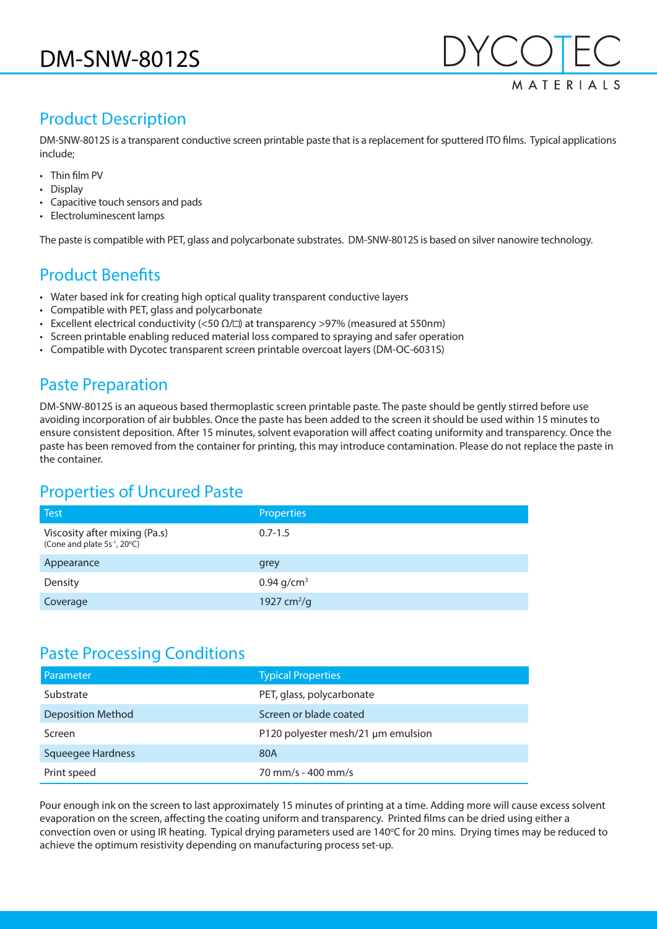

## Product Description

DM-SNW-8012S is a transparent conductive screen printable paste that is a replacement for sputtered ITO films. Typical applications include;

- Thin film PV
- Display
- Capacitive touch sensors and pads
- Electroluminescent lamps

The paste is compatible with PET, glass and polycarbonate substrates. DM-SNW-8012S is based on silver nanowire technology.

# Product Benefits

- Water based ink for creating high optical quality transparent conductive layers
- Compatible with PET, glass and polycarbonate
- Excellent electrical conductivity (<50  $\Omega/\square$ ) at transparency >97% (measured at 550nm)
- Screen printable enabling reduced material loss compared to spraying and safer operation
- Compatible with Dycotec transparent screen printable overcoat layers (DM-OC-6031S)

# Paste Preparation

DM-SNW-8012S is an aqueous based thermoplastic screen printable paste. The paste should be gently stirred before use avoiding incorporation of air bubbles. Once the paste has been added to the screen it should be used within 15 minutes to ensure consistent deposition. After 15 minutes, solvent evaporation will affect coating uniformity and transparency. Once the paste has been removed from the container for printing, this may introduce contamination. Please do not replace the paste in the container.

# Properties of Uncured Paste

| <b>Test</b>                                                               | <b>Properties</b> |
|---------------------------------------------------------------------------|-------------------|
| Viscosity after mixing (Pa.s)<br>(Cone and plate 5s <sup>-1</sup> , 20°C) | $0.7 - 1.5$       |
| Appearance                                                                | grey              |
| Density                                                                   | 0.94 $q/cm^3$     |
| Coverage                                                                  | 1927 $cm^{2}/g$   |

#### Paste Processing Conditions

| Parameter                | <b>Typical Properties</b>          |
|--------------------------|------------------------------------|
| Substrate                | PET, glass, polycarbonate          |
| <b>Deposition Method</b> | Screen or blade coated             |
| Screen                   | P120 polyester mesh/21 µm emulsion |
| <b>Squeegee Hardness</b> | 80A                                |
| Print speed              | 70 mm/s - 400 mm/s                 |

Pour enough ink on the screen to last approximately 15 minutes of printing at a time. Adding more will cause excess solvent evaporation on the screen, affecting the coating uniform and transparency. Printed films can be dried using either a convection oven or using IR heating. Typical drying parameters used are 140°C for 20 mins. Drying times may be reduced to achieve the optimum resistivity depending on manufacturing process set-up.